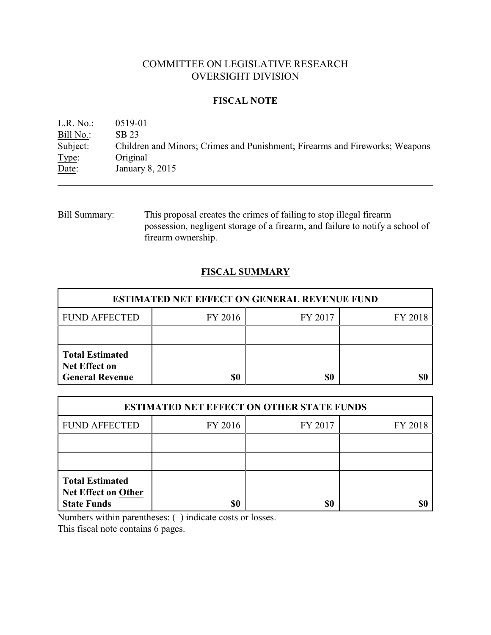# COMMITTEE ON LEGISLATIVE RESEARCH OVERSIGHT DIVISION

## **FISCAL NOTE**

L.R. No.: 0519-01 Bill No.: SB 23<br>Subject: Childre Children and Minors; Crimes and Punishment; Firearms and Fireworks; Weapons Type: Original Date: January 8, 2015

Bill Summary: This proposal creates the crimes of failing to stop illegal firearm possession, negligent storage of a firearm, and failure to notify a school of firearm ownership.

## **FISCAL SUMMARY**

| <b>ESTIMATED NET EFFECT ON GENERAL REVENUE FUND</b>                      |         |         |         |  |
|--------------------------------------------------------------------------|---------|---------|---------|--|
| <b>FUND AFFECTED</b>                                                     | FY 2016 | FY 2017 | FY 2018 |  |
|                                                                          |         |         |         |  |
| <b>Total Estimated</b><br><b>Net Effect on</b><br><b>General Revenue</b> | \$0     | \$0     |         |  |

| <b>ESTIMATED NET EFFECT ON OTHER STATE FUNDS</b>                           |         |         |         |  |
|----------------------------------------------------------------------------|---------|---------|---------|--|
| <b>FUND AFFECTED</b>                                                       | FY 2016 | FY 2017 | FY 2018 |  |
|                                                                            |         |         |         |  |
|                                                                            |         |         |         |  |
| <b>Total Estimated</b><br><b>Net Effect on Other</b><br><b>State Funds</b> | \$0     | \$0     |         |  |

Numbers within parentheses: ( ) indicate costs or losses.

This fiscal note contains 6 pages.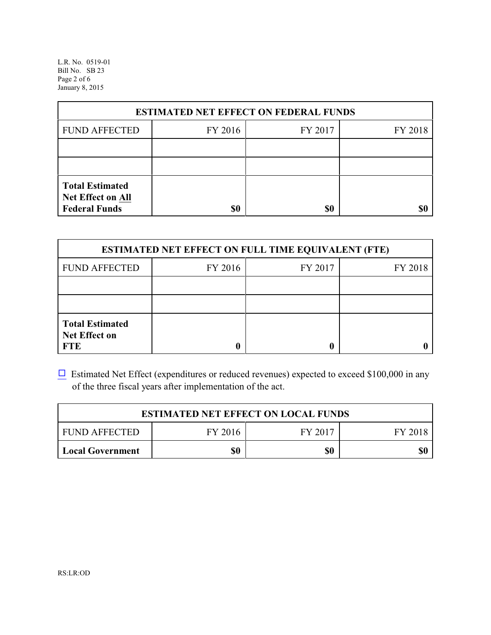L.R. No. 0519-01 Bill No. SB 23 Page 2 of 6 January 8, 2015

| <b>ESTIMATED NET EFFECT ON FEDERAL FUNDS</b>                        |         |         |         |  |
|---------------------------------------------------------------------|---------|---------|---------|--|
| <b>FUND AFFECTED</b>                                                | FY 2016 | FY 2017 | FY 2018 |  |
|                                                                     |         |         |         |  |
|                                                                     |         |         |         |  |
| <b>Total Estimated</b><br>Net Effect on All<br><b>Federal Funds</b> | \$0     | \$0     |         |  |

| <b>ESTIMATED NET EFFECT ON FULL TIME EQUIVALENT (FTE)</b>    |         |         |         |  |
|--------------------------------------------------------------|---------|---------|---------|--|
| <b>FUND AFFECTED</b>                                         | FY 2016 | FY 2017 | FY 2018 |  |
|                                                              |         |         |         |  |
|                                                              |         |         |         |  |
| <b>Total Estimated</b><br><b>Net Effect on</b><br><b>FTE</b> |         |         |         |  |

 $\Box$  Estimated Net Effect (expenditures or reduced revenues) expected to exceed \$100,000 in any of the three fiscal years after implementation of the act.

| <b>ESTIMATED NET EFFECT ON LOCAL FUNDS</b> |         |         |         |  |
|--------------------------------------------|---------|---------|---------|--|
| <b>FUND AFFECTED</b>                       | FY 2016 | FY 2017 | FY 2018 |  |
| <b>Local Government</b>                    | \$0     | \$0     | \$0     |  |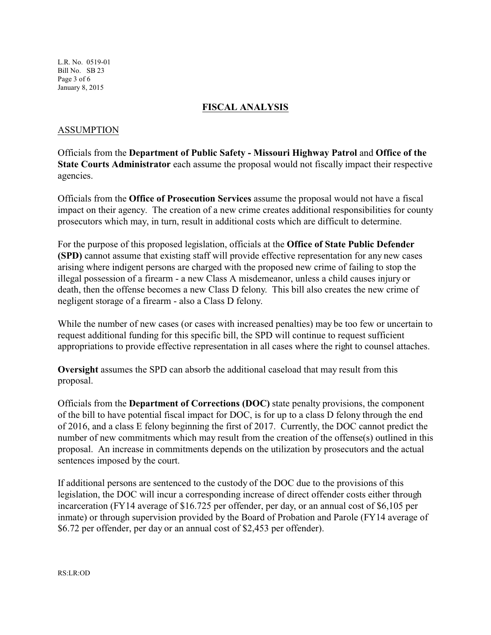L.R. No. 0519-01 Bill No. SB 23 Page 3 of 6 January 8, 2015

### **FISCAL ANALYSIS**

#### ASSUMPTION

Officials from the **Department of Public Safety - Missouri Highway Patrol** and **Office of the State Courts Administrator** each assume the proposal would not fiscally impact their respective agencies.

Officials from the **Office of Prosecution Services** assume the proposal would not have a fiscal impact on their agency. The creation of a new crime creates additional responsibilities for county prosecutors which may, in turn, result in additional costs which are difficult to determine.

For the purpose of this proposed legislation, officials at the **Office of State Public Defender (SPD)** cannot assume that existing staff will provide effective representation for any new cases arising where indigent persons are charged with the proposed new crime of failing to stop the illegal possession of a firearm - a new Class A misdemeanor, unless a child causes injury or death, then the offense becomes a new Class D felony. This bill also creates the new crime of negligent storage of a firearm - also a Class D felony.

While the number of new cases (or cases with increased penalties) may be too few or uncertain to request additional funding for this specific bill, the SPD will continue to request sufficient appropriations to provide effective representation in all cases where the right to counsel attaches.

**Oversight** assumes the SPD can absorb the additional caseload that may result from this proposal.

Officials from the **Department of Corrections (DOC)** state penalty provisions, the component of the bill to have potential fiscal impact for DOC, is for up to a class D felony through the end of 2016, and a class E felony beginning the first of 2017. Currently, the DOC cannot predict the number of new commitments which may result from the creation of the offense(s) outlined in this proposal. An increase in commitments depends on the utilization by prosecutors and the actual sentences imposed by the court.

If additional persons are sentenced to the custody of the DOC due to the provisions of this legislation, the DOC will incur a corresponding increase of direct offender costs either through incarceration (FY14 average of \$16.725 per offender, per day, or an annual cost of \$6,105 per inmate) or through supervision provided by the Board of Probation and Parole (FY14 average of \$6.72 per offender, per day or an annual cost of \$2,453 per offender).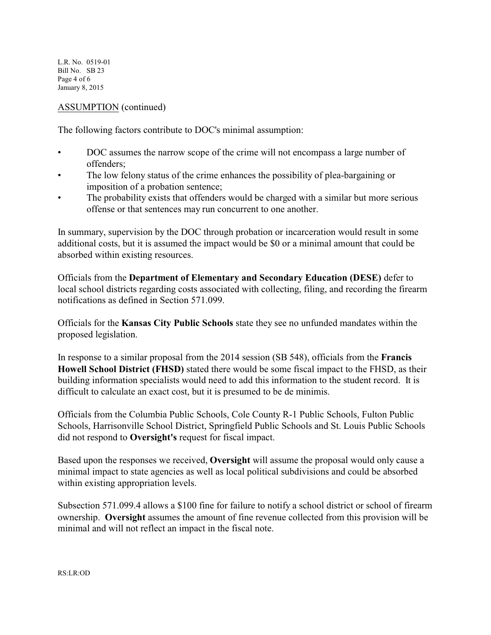L.R. No. 0519-01 Bill No. SB 23 Page 4 of 6 January 8, 2015

## ASSUMPTION (continued)

The following factors contribute to DOC's minimal assumption:

- DOC assumes the narrow scope of the crime will not encompass a large number of offenders;
- The low felony status of the crime enhances the possibility of plea-bargaining or imposition of a probation sentence;
- The probability exists that offenders would be charged with a similar but more serious offense or that sentences may run concurrent to one another.

In summary, supervision by the DOC through probation or incarceration would result in some additional costs, but it is assumed the impact would be \$0 or a minimal amount that could be absorbed within existing resources.

Officials from the **Department of Elementary and Secondary Education (DESE)** defer to local school districts regarding costs associated with collecting, filing, and recording the firearm notifications as defined in Section 571.099.

Officials for the **Kansas City Public Schools** state they see no unfunded mandates within the proposed legislation.

In response to a similar proposal from the 2014 session (SB 548), officials from the **Francis Howell School District (FHSD)** stated there would be some fiscal impact to the FHSD, as their building information specialists would need to add this information to the student record. It is difficult to calculate an exact cost, but it is presumed to be de minimis.

Officials from the Columbia Public Schools, Cole County R-1 Public Schools, Fulton Public Schools, Harrisonville School District, Springfield Public Schools and St. Louis Public Schools did not respond to **Oversight's** request for fiscal impact.

Based upon the responses we received, **Oversight** will assume the proposal would only cause a minimal impact to state agencies as well as local political subdivisions and could be absorbed within existing appropriation levels.

Subsection 571.099.4 allows a \$100 fine for failure to notify a school district or school of firearm ownership. **Oversight** assumes the amount of fine revenue collected from this provision will be minimal and will not reflect an impact in the fiscal note.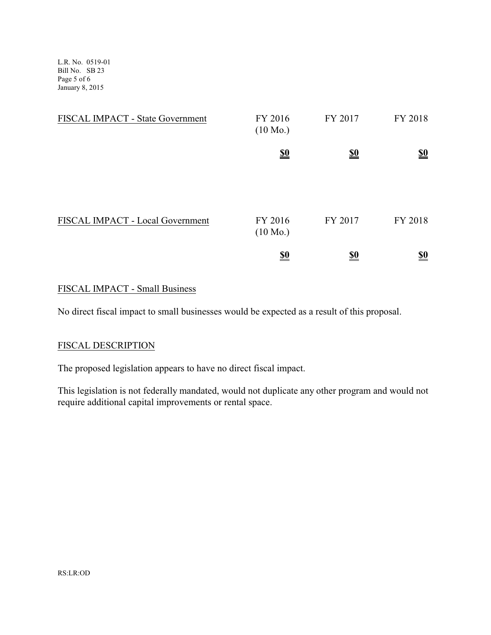L.R. No. 0519-01 Bill No. SB 23 Page 5 of 6 January 8, 2015

| FISCAL IMPACT - State Government | FY 2016<br>$(10 \text{ Mo.})$ | FY 2017    | FY 2018                       |
|----------------------------------|-------------------------------|------------|-------------------------------|
|                                  | $\frac{$0}{}$                 | <u>\$0</u> | $\underline{\underline{\$0}}$ |
| FISCAL IMPACT - Local Government | FY 2016<br>$(10 \text{ Mo.})$ | FY 2017    | FY 2018                       |
|                                  | <u>\$0</u>                    | <u>\$0</u> | <u>\$0</u>                    |

## FISCAL IMPACT - Small Business

No direct fiscal impact to small businesses would be expected as a result of this proposal.

### FISCAL DESCRIPTION

The proposed legislation appears to have no direct fiscal impact.

This legislation is not federally mandated, would not duplicate any other program and would not require additional capital improvements or rental space.